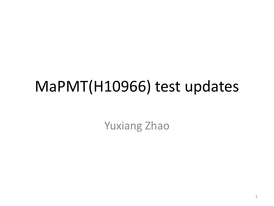## MaPMT(H10966) test updates

Yuxiang Zhao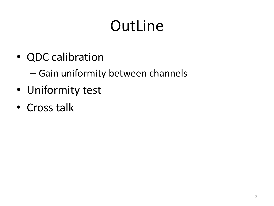# OutLine

• QDC calibration

– Gain uniformity between channels

- Uniformity test
- Cross talk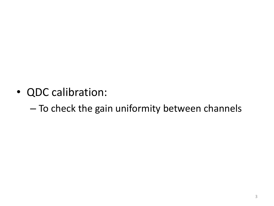• QDC calibration:

– To check the gain uniformity between channels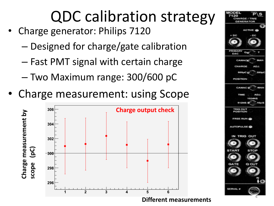# QDC calibration strategy

- Charge generator: Philips 7120
	- Designed for charge/gate calibration
	- Fast PMT signal with certain charge
	- Two Maximum range: 300/600 pC
- Charge measurement: using Scope



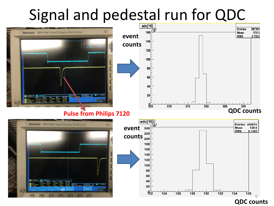# Signal and pedestal run for QDC

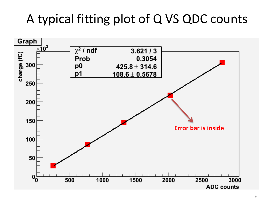#### A typical fitting plot of Q VS QDC counts

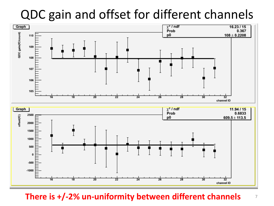#### QDC gain and offset for different channels



**There is +/-2% un-uniformity between different channels** <sup>7</sup>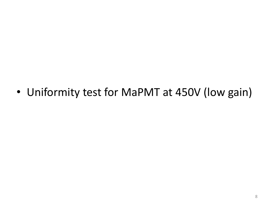• Uniformity test for MaPMT at 450V (low gain)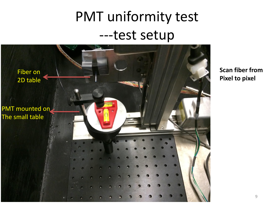## PMT uniformity test ---test setup



**Scan fiber from Pixel to pixel**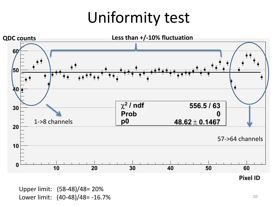## Uniformity test

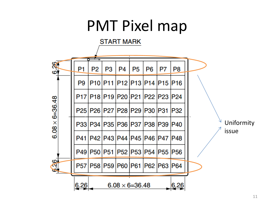## PMT Pixel map

**START MARK**